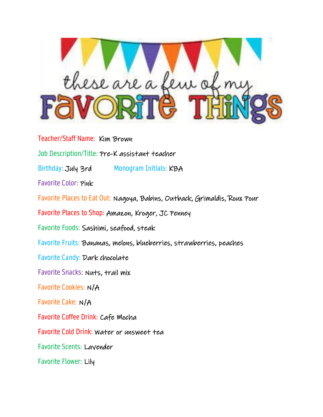

Teacher/Staff Name: Kim Brown Job Description/Title: Pre-K assistant teacher Birthday: July 3rd Monogram Initials: KBA Favorite Color: Pink Favorite Places to Eat Out: Nagoya, Babins, Outback, Grimaldis, Roux Pour Favorite Places to Shop: Amazon, Kroger, JC Penney Favorite Foods: Sashimi, seafood, steak Favorite Fruits: Bananas, melons, blueberries, strawberries, peaches Favorite Candy: Dark chocolate Favorite Snacks: Nuts, trail mix Favorite Cookies: N/A Favorite Cake: N/A Favorite Coffee Drink: Cafe Mocha Favorite Cold Drink: Water or unsweet tea Favorite Scents: Lavender Favorite Flower: Lily